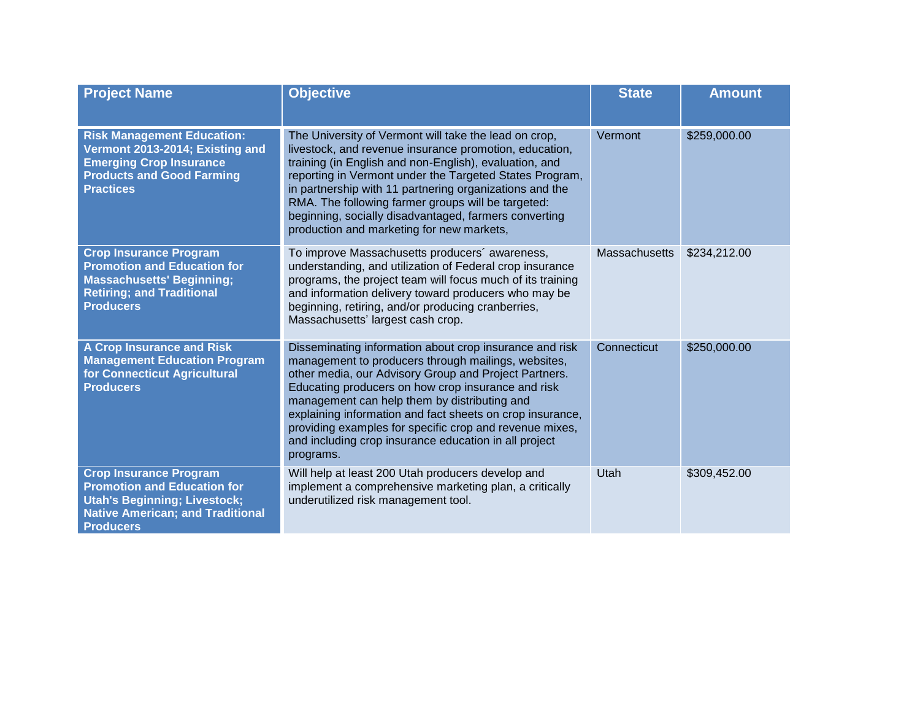| <b>Project Name</b>                                                                                                                                                       | <b>Objective</b>                                                                                                                                                                                                                                                                                                                                                                                                                                                            | <b>State</b>  | <b>Amount</b> |
|---------------------------------------------------------------------------------------------------------------------------------------------------------------------------|-----------------------------------------------------------------------------------------------------------------------------------------------------------------------------------------------------------------------------------------------------------------------------------------------------------------------------------------------------------------------------------------------------------------------------------------------------------------------------|---------------|---------------|
| <b>Risk Management Education:</b><br>Vermont 2013-2014; Existing and<br><b>Emerging Crop Insurance</b><br><b>Products and Good Farming</b><br><b>Practices</b>            | The University of Vermont will take the lead on crop,<br>livestock, and revenue insurance promotion, education,<br>training (in English and non-English), evaluation, and<br>reporting in Vermont under the Targeted States Program,<br>in partnership with 11 partnering organizations and the<br>RMA. The following farmer groups will be targeted:<br>beginning, socially disadvantaged, farmers converting<br>production and marketing for new markets,                 | Vermont       | \$259,000.00  |
| <b>Crop Insurance Program</b><br><b>Promotion and Education for</b><br><b>Massachusetts' Beginning;</b><br><b>Retiring; and Traditional</b><br><b>Producers</b>           | To improve Massachusetts producers' awareness,<br>understanding, and utilization of Federal crop insurance<br>programs, the project team will focus much of its training<br>and information delivery toward producers who may be<br>beginning, retiring, and/or producing cranberries,<br>Massachusetts' largest cash crop.                                                                                                                                                 | Massachusetts | \$234,212.00  |
| <b>A Crop Insurance and Risk</b><br><b>Management Education Program</b><br>for Connecticut Agricultural<br><b>Producers</b>                                               | Disseminating information about crop insurance and risk<br>management to producers through mailings, websites,<br>other media, our Advisory Group and Project Partners.<br>Educating producers on how crop insurance and risk<br>management can help them by distributing and<br>explaining information and fact sheets on crop insurance,<br>providing examples for specific crop and revenue mixes,<br>and including crop insurance education in all project<br>programs. | Connecticut   | \$250,000.00  |
| <b>Crop Insurance Program</b><br><b>Promotion and Education for</b><br><b>Utah's Beginning; Livestock;</b><br><b>Native American; and Traditional</b><br><b>Producers</b> | Will help at least 200 Utah producers develop and<br>implement a comprehensive marketing plan, a critically<br>underutilized risk management tool.                                                                                                                                                                                                                                                                                                                          | Utah          | \$309,452.00  |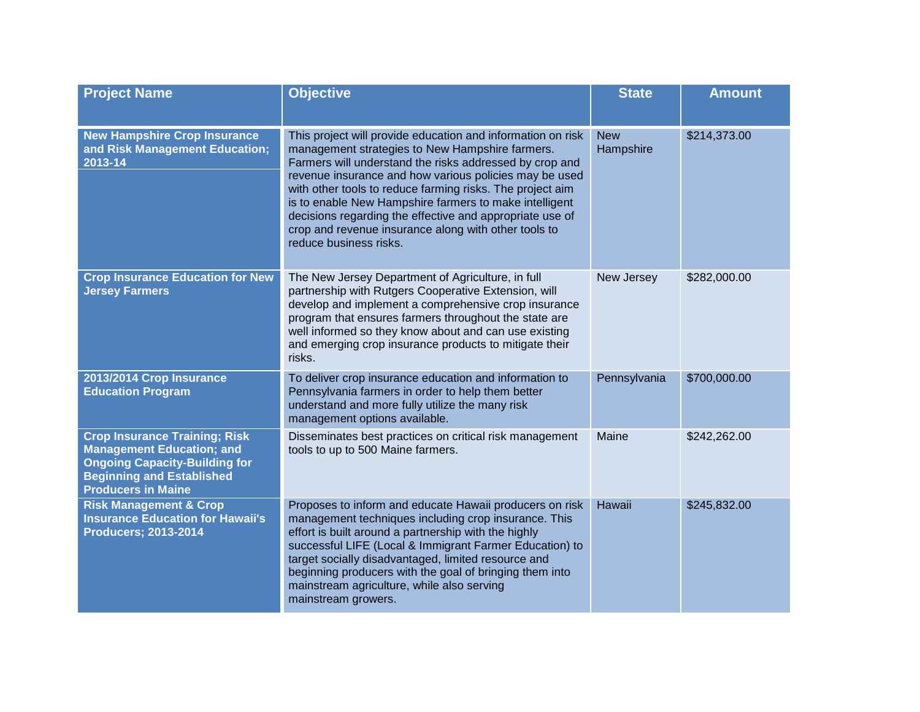| <b>Project Name</b>                                                                                                                                                               | <b>Objective</b>                                                                                                                                                                                                                                                                                                                                                                                                                                                                                         | <b>State</b>            | <b>Amount</b> |
|-----------------------------------------------------------------------------------------------------------------------------------------------------------------------------------|----------------------------------------------------------------------------------------------------------------------------------------------------------------------------------------------------------------------------------------------------------------------------------------------------------------------------------------------------------------------------------------------------------------------------------------------------------------------------------------------------------|-------------------------|---------------|
| <b>New Hampshire Crop Insurance</b><br>and Risk Management Education;<br>2013-14                                                                                                  | This project will provide education and information on risk<br>management strategies to New Hampshire farmers.<br>Farmers will understand the risks addressed by crop and<br>revenue insurance and how various policies may be used<br>with other tools to reduce farming risks. The project aim<br>is to enable New Hampshire farmers to make intelligent<br>decisions regarding the effective and appropriate use of<br>crop and revenue insurance along with other tools to<br>reduce business risks. | <b>New</b><br>Hampshire | \$214,373.00  |
| <b>Crop Insurance Education for New</b><br><b>Jersey Farmers</b>                                                                                                                  | The New Jersey Department of Agriculture, in full<br>partnership with Rutgers Cooperative Extension, will<br>develop and implement a comprehensive crop insurance<br>program that ensures farmers throughout the state are<br>well informed so they know about and can use existing<br>and emerging crop insurance products to mitigate their<br>risks.                                                                                                                                                  | New Jersey              | \$282,000.00  |
| 2013/2014 Crop Insurance<br><b>Education Program</b>                                                                                                                              | To deliver crop insurance education and information to<br>Pennsylvania farmers in order to help them better<br>understand and more fully utilize the many risk<br>management options available.                                                                                                                                                                                                                                                                                                          | Pennsylvania            | \$700,000.00  |
| <b>Crop Insurance Training; Risk</b><br><b>Management Education; and</b><br><b>Ongoing Capacity-Building for</b><br><b>Beginning and Established</b><br><b>Producers in Maine</b> | Disseminates best practices on critical risk management<br>tools to up to 500 Maine farmers.                                                                                                                                                                                                                                                                                                                                                                                                             | Maine                   | \$242,262.00  |
| <b>Risk Management &amp; Crop</b><br><b>Insurance Education for Hawaii's</b><br><b>Producers; 2013-2014</b>                                                                       | Proposes to inform and educate Hawaii producers on risk<br>management techniques including crop insurance. This<br>effort is built around a partnership with the highly<br>successful LIFE (Local & Immigrant Farmer Education) to<br>target socially disadvantaged, limited resource and<br>beginning producers with the goal of bringing them into<br>mainstream agriculture, while also serving<br>mainstream growers.                                                                                | Hawaii                  | \$245,832.00  |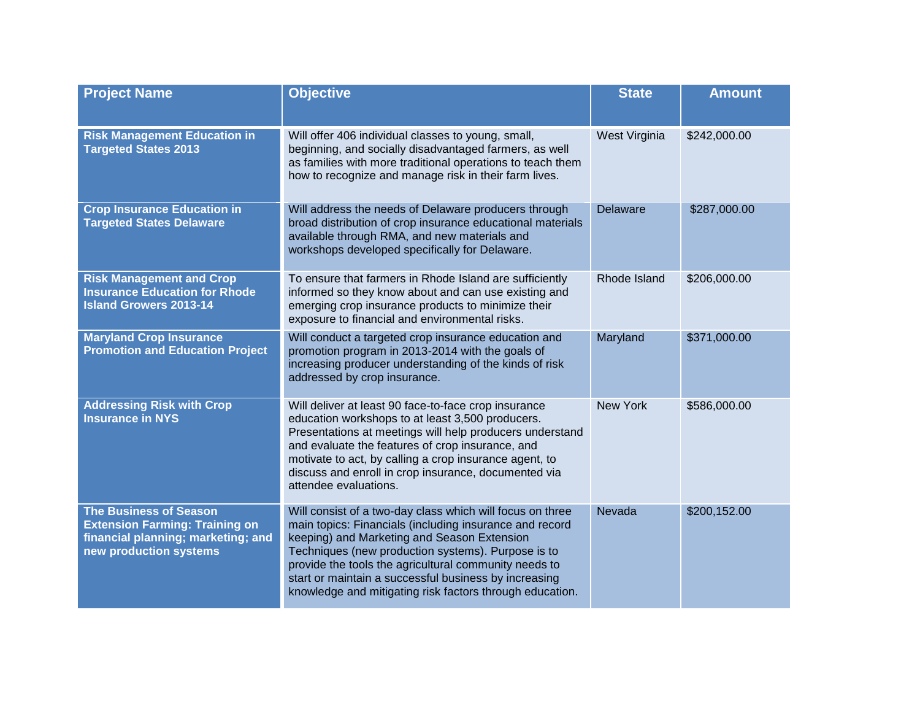| <b>Project Name</b>                                                                                                                    | <b>Objective</b>                                                                                                                                                                                                                                                                                                                                                                                        | <b>State</b>    | <b>Amount</b> |
|----------------------------------------------------------------------------------------------------------------------------------------|---------------------------------------------------------------------------------------------------------------------------------------------------------------------------------------------------------------------------------------------------------------------------------------------------------------------------------------------------------------------------------------------------------|-----------------|---------------|
| <b>Risk Management Education in</b><br><b>Targeted States 2013</b>                                                                     | Will offer 406 individual classes to young, small,<br>beginning, and socially disadvantaged farmers, as well<br>as families with more traditional operations to teach them<br>how to recognize and manage risk in their farm lives.                                                                                                                                                                     | West Virginia   | \$242,000.00  |
| <b>Crop Insurance Education in</b><br><b>Targeted States Delaware</b>                                                                  | Will address the needs of Delaware producers through<br>broad distribution of crop insurance educational materials<br>available through RMA, and new materials and<br>workshops developed specifically for Delaware.                                                                                                                                                                                    | <b>Delaware</b> | \$287,000.00  |
| <b>Risk Management and Crop</b><br><b>Insurance Education for Rhode</b><br><b>Island Growers 2013-14</b>                               | To ensure that farmers in Rhode Island are sufficiently<br>informed so they know about and can use existing and<br>emerging crop insurance products to minimize their<br>exposure to financial and environmental risks.                                                                                                                                                                                 | Rhode Island    | \$206,000.00  |
| <b>Maryland Crop Insurance</b><br><b>Promotion and Education Project</b>                                                               | Will conduct a targeted crop insurance education and<br>promotion program in 2013-2014 with the goals of<br>increasing producer understanding of the kinds of risk<br>addressed by crop insurance.                                                                                                                                                                                                      | Maryland        | \$371,000.00  |
| <b>Addressing Risk with Crop</b><br><b>Insurance in NYS</b>                                                                            | Will deliver at least 90 face-to-face crop insurance<br>education workshops to at least 3,500 producers.<br>Presentations at meetings will help producers understand<br>and evaluate the features of crop insurance, and<br>motivate to act, by calling a crop insurance agent, to<br>discuss and enroll in crop insurance, documented via<br>attendee evaluations.                                     | <b>New York</b> | \$586,000.00  |
| <b>The Business of Season</b><br><b>Extension Farming: Training on</b><br>financial planning; marketing; and<br>new production systems | Will consist of a two-day class which will focus on three<br>main topics: Financials (including insurance and record<br>keeping) and Marketing and Season Extension<br>Techniques (new production systems). Purpose is to<br>provide the tools the agricultural community needs to<br>start or maintain a successful business by increasing<br>knowledge and mitigating risk factors through education. | Nevada          | \$200,152.00  |